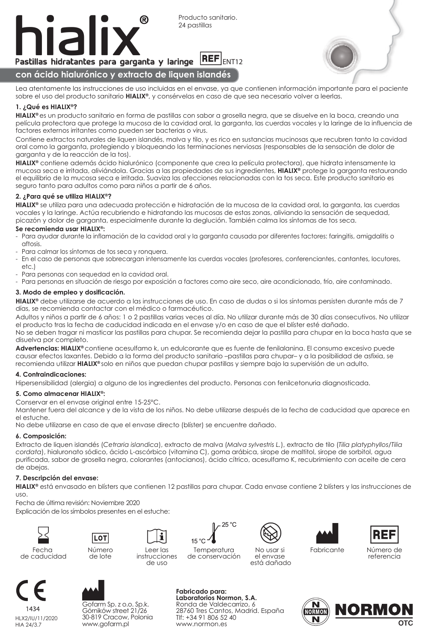



Lea atentamente las instrucciones de uso incluidas en el envase, ya que contienen información importante para el paciente sobre el uso del producto sanitario **HIALIX®**, y consérvelas en caso de que sea necesario volver a leerlas.

# **1. ¿Qué es HIALIX®?**

**HIALIX®** es un producto sanitario en forma de pastillas con sabor a grosella negra, que se disuelve en la boca, creando una película protectora que protege la mucosa de la cavidad oral, la garganta, las cuerdas vocales y la laringe de la influencia de factores externos irritantes como pueden ser bacterias o virus.

Contiene extractos naturales de liquen islandés, malva y tilo, y es rico en sustancias mucinosas que recubren tanto la cavidad oral como la garganta, protegiendo y bloqueando las terminaciones nerviosas (responsables de la sensación de dolor de garganta y de la reacción de la tos).

**HIALIX®** contiene además ácido hialurónico (componente que crea la película protectora), que hidrata intensamente la mucosa seca e irritada, aliviándola. Gracias a las propiedades de sus ingredientes, **HIALIX®** protege la garganta restaurando el equilibrio de la mucosa seca e irritada. Suaviza las afecciones relacionadas con la tos seca. Este producto sanitario es seguro tanto para adultos como para niños a partir de 6 años.

### **2. ¿Para qué se utiliza HIALIX®?**

**HIALIX®** se utiliza para una adecuada protección e hidratación de la mucosa de la cavidad oral, la garganta, las cuerdas vocales y la laringe. Actúa recubriendo e hidratando las mucosas de estas zonas, aliviando la sensación de sequedad, picazón y dolor de garganta, especialmente durante la deglución. También calma los síntomas de tos seca.

#### **Se recomienda usar HIALIX®:**

- Para ayudar durante la inflamación de la cavidad oral y la garganta causada por diferentes factores: faringitis, amigdalitis o aftosis.
- Para calmar los síntomas de tos seca y ronquera.
- En el caso de personas que sobrecargan intensamente las cuerdas vocales (profesores, conferenciantes, cantantes, locutores, etc.)
- Para personas con sequedad en la cavidad oral.
- Para personas en situación de riesgo por exposición a factores como aire seco, aire acondicionado, frío, aire contaminado.

#### **3. Modo de empleo y dosificación.**

**HIALIX®** debe utilizarse de acuerdo a las instrucciones de uso. En caso de dudas o si los síntomas persisten durante más de 7 días, se recomienda contactar con el médico o farmacéutico.

Adultos y niños a partir de 6 años: 1 o 2 pastillas varias veces al día. No utilizar durante más de 30 días consecutivos. No utilizar el producto tras la fecha de caducidad indicada en el envase y/o en caso de que el blíster esté dañado.

No se deben tragar ni masticar las pastillas para chupar. Se recomienda dejar la pastilla para chupar en la boca hasta que se disuelva por completo.

**Advertencias: HIALIX®** contiene acesulfamo k, un edulcorante que es fuente de fenilalanina. El consumo excesivo puede causar efectos laxantes. Debido a la forma del producto sanitario –pastillas para chupar– y a la posibilidad de asfixia, se recomienda utilizar **HIALIX®** solo en niños que puedan chupar pastillas y siempre bajo la supervisión de un adulto.

### **4. Contraindicaciones:**

Hipersensibilidad (alergia) a alguno de los ingredientes del producto. Personas con fenilcetonuria diagnosticada.

# **5. Como almacenar HIALIX®:**

Conservar en el envase original entre 15-25°C.

Mantener fuera del alcance y de la vista de los niños. No debe utilizarse después de la fecha de caducidad que aparece en el estuche.

No debe utilizarse en caso de que el envase directo (blíster) se encuentre dañado.

### **6. Composición:**

Extracto de liquen islandés (*Cetraria islandica*), extracto de malva (*Malva sylvestris L.*), extracto de tilo (*Tilia platyphyllos/Tilia cordata*), hialuronato sódico, ácido L-ascórbico (vitamina C), goma arábica, sirope de maltitol, sirope de sorbitol, agua purificada, sabor de grosella negra, colorantes (antocianos), ácido cítrico, acesulfamo K, recubrimiento con aceite de cera de abejas.

### **7. Descripción del envase:**

**HIALIX®** está envasado en blísters que contienen 12 pastillas para chupar. Cada envase contiene 2 blísters y las instrucciones de uso.

Fecha de última revisión: Noviembre 2020

Explicación de los símbolos presentes en el estuche:



Fecha de caducidad



÷ Leer las instrucciones de uso



**Temperatura** 





HIA 24/3.7



Número de lote

LOT

www.normon.es HLX2/IU/11/2020 www.gofarm.pl Gofarm Sp. z o.o. Sp. k. Górników street 21/26 30-819 Cracow, Polonia

de conservación

No usar si el envase está dañado

Fabricante Número de referencia

**Fabricado para: Laboratorios Normon, S.A.**

Ronda de Valdecarrizo, 6 28760 Tres Cantos, Madrid. España Tlf: +34 91 806 52 40